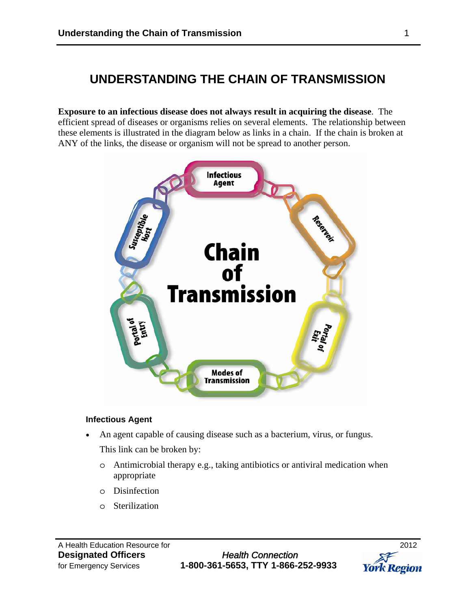# **UNDERSTANDING THE CHAIN OF TRANSMISSION**

**Exposure to an infectious disease does not always result in acquiring the disease**. The efficient spread of diseases or organisms relies on several elements. The relationship between these elements is illustrated in the diagram below as links in a chain. If the chain is broken at ANY of the links, the disease or organism will not be spread to another person.



#### **Infectious Agent**

An agent capable of causing disease such as a bacterium, virus, or fungus.

This link can be broken by:

- o Antimicrobial therapy e.g., taking antibiotics or antiviral medication when appropriate
- o Disinfection
- o Sterilization

**Designated Officers** *Health Connection* for Emergency Services **1-800-361-5653, TTY 1-866-252-9933** 

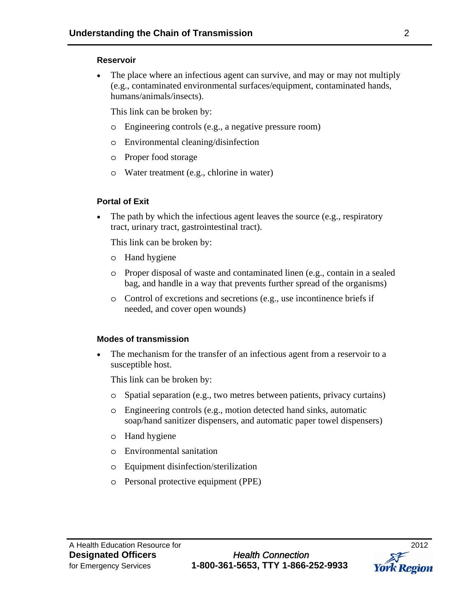#### **Reservoir**

 The place where an infectious agent can survive, and may or may not multiply (e.g., contaminated environmental surfaces/equipment, contaminated hands, humans/animals/insects).

This link can be broken by:

- o Engineering controls (e.g., a negative pressure room)
- o Environmental cleaning/disinfection
- o Proper food storage
- o Water treatment (e.g., chlorine in water)

# **Portal of Exit**

• The path by which the infectious agent leaves the source (e.g., respiratory tract, urinary tract, gastrointestinal tract).

This link can be broken by:

- o Hand hygiene
- o Proper disposal of waste and contaminated linen (e.g., contain in a sealed bag, and handle in a way that prevents further spread of the organisms)
- o Control of excretions and secretions (e.g., use incontinence briefs if needed, and cover open wounds)

#### **Modes of transmission**

 The mechanism for the transfer of an infectious agent from a reservoir to a susceptible host.

This link can be broken by:

- o Spatial separation (e.g., two metres between patients, privacy curtains)
- o Engineering controls (e.g., motion detected hand sinks, automatic soap/hand sanitizer dispensers, and automatic paper towel dispensers)
- o Hand hygiene
- o Environmental sanitation
- o Equipment disinfection/sterilization
- o Personal protective equipment (PPE)